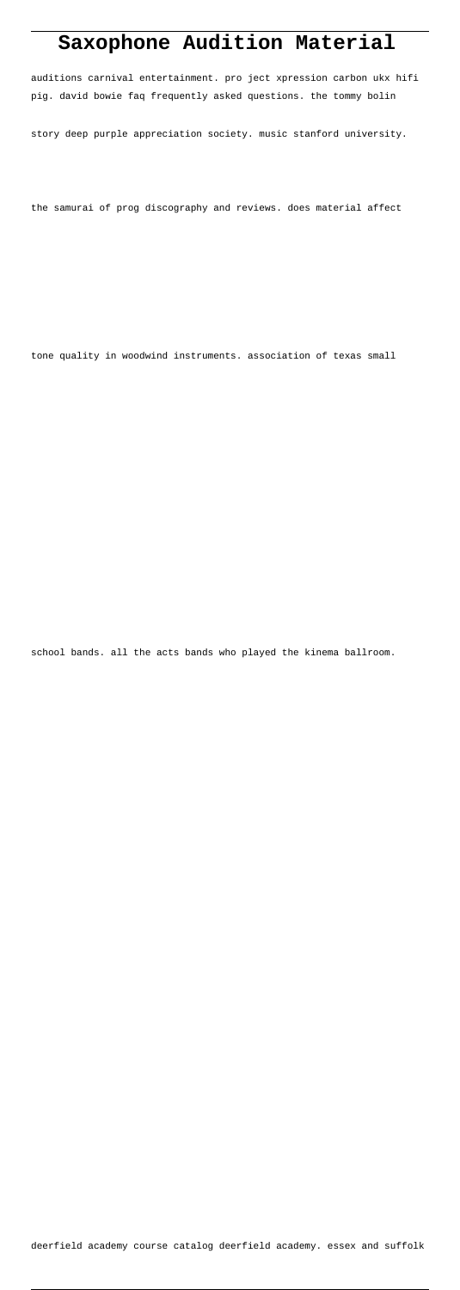# **Saxophone Audition Material**

auditions carnival entertainment. pro ject xpression carbon ukx hifi pig. david bowie faq frequently asked questions. the tommy bolin

story deep purple appreciation society. music stanford university.

the samurai of prog discography and reviews. does material affect

tone quality in woodwind instruments. association of texas small

school bands. all the acts bands who played the kinema ballroom.

deerfield academy course catalog deerfield academy. essex and suffolk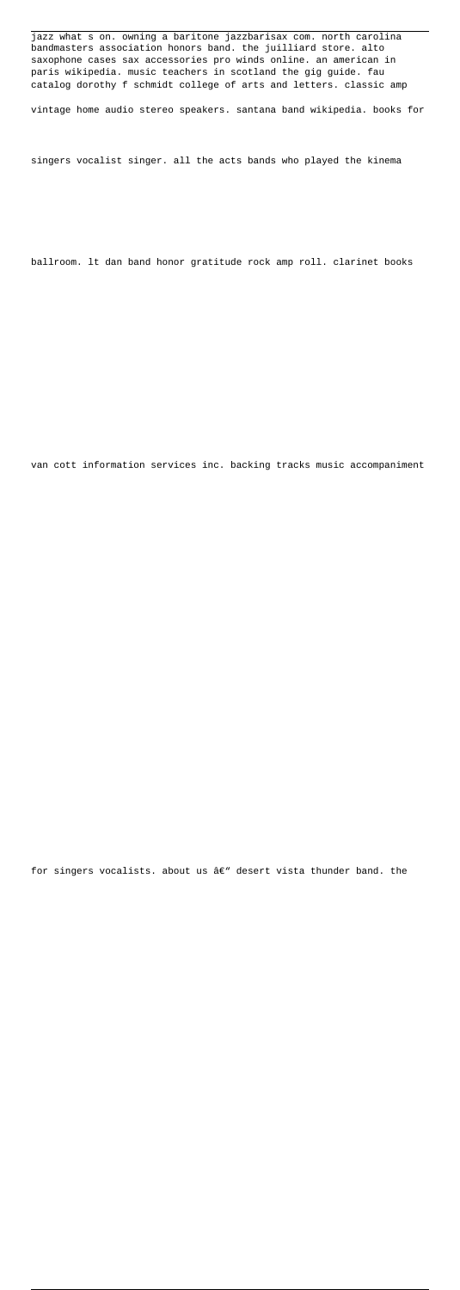jazz what s on. owning a baritone jazzbarisax com. north carolina bandmasters association honors band. the juilliard store. alto saxophone cases sax accessories pro winds online. an american in paris wikipedia. music teachers in scotland the gig guide. fau catalog dorothy f schmidt college of arts and letters. classic amp

vintage home audio stereo speakers. santana band wikipedia. books for

singers vocalist singer. all the acts bands who played the kinema

ballroom. lt dan band honor gratitude rock amp roll. clarinet books

van cott information services inc. backing tracks music accompaniment

for singers vocalists. about us  $\hat{a}\in$  desert vista thunder band. the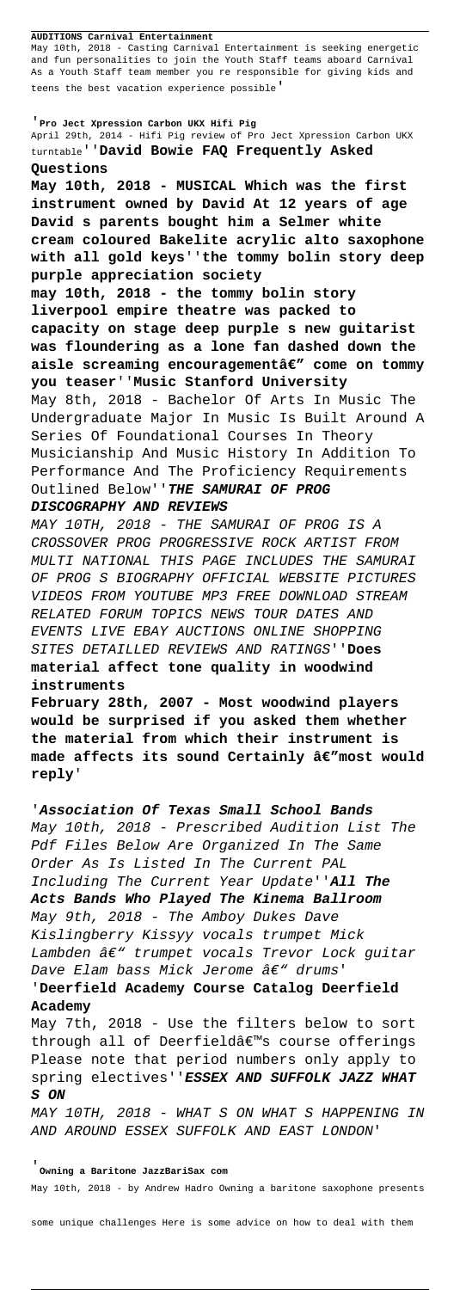#### **AUDITIONS Carnival Entertainment**

May 10th, 2018 - Casting Carnival Entertainment is seeking energetic and fun personalities to join the Youth Staff teams aboard Carnival As a Youth Staff team member you re responsible for giving kids and teens the best vacation experience possible'

## '**Pro Ject Xpression Carbon UKX Hifi Pig**

April 29th, 2014 - Hifi Pig review of Pro Ject Xpression Carbon UKX turntable''**David Bowie FAQ Frequently Asked Questions**

**May 10th, 2018 - MUSICAL Which was the first instrument owned by David At 12 years of age David s parents bought him a Selmer white cream coloured Bakelite acrylic alto saxophone with all gold keys**''**the tommy bolin story deep purple appreciation society**

**may 10th, 2018 - the tommy bolin story liverpool empire theatre was packed to capacity on stage deep purple s new guitarist was floundering as a lone fan dashed down the** aisle screaming encouragementâ€" come on tommy **you teaser**''**Music Stanford University**

'**Association Of Texas Small School Bands** May 10th, 2018 - Prescribed Audition List The Pdf Files Below Are Organized In The Same Order As Is Listed In The Current PAL Including The Current Year Update''**All The Acts Bands Who Played The Kinema Ballroom** May 9th, 2018 - The Amboy Dukes Dave Kislingberry Kissyy vocals trumpet Mick Lambden  $\hat{a}\epsilon$ " trumpet vocals Trevor Lock guitar Dave Elam bass Mick Jerome  $\hat{a}\epsilon$ " drums'

May 8th, 2018 - Bachelor Of Arts In Music The Undergraduate Major In Music Is Built Around A Series Of Foundational Courses In Theory Musicianship And Music History In Addition To Performance And The Proficiency Requirements Outlined Below''**THE SAMURAI OF PROG**

## **DISCOGRAPHY AND REVIEWS**

MAY 10TH, 2018 - THE SAMURAI OF PROG IS A CROSSOVER PROG PROGRESSIVE ROCK ARTIST FROM MULTI NATIONAL THIS PAGE INCLUDES THE SAMURAI OF PROG S BIOGRAPHY OFFICIAL WEBSITE PICTURES VIDEOS FROM YOUTUBE MP3 FREE DOWNLOAD STREAM RELATED FORUM TOPICS NEWS TOUR DATES AND EVENTS LIVE EBAY AUCTIONS ONLINE SHOPPING SITES DETAILLED REVIEWS AND RATINGS''**Does material affect tone quality in woodwind instruments**

**February 28th, 2007 - Most woodwind players would be surprised if you asked them whether the material from which their instrument is** made affects its sound Certainly â€"most would **reply**'

## '**Deerfield Academy Course Catalog Deerfield Academy**

May 7th, 2018 - Use the filters below to sort through all of Deerfieldâ€<sup>™</sup>s course offerings Please note that period numbers only apply to spring electives''**ESSEX AND SUFFOLK JAZZ WHAT S ON**

MAY 10TH, 2018 - WHAT S ON WHAT S HAPPENING IN AND AROUND ESSEX SUFFOLK AND EAST LONDON'

## '**Owning a Baritone JazzBariSax com**

May 10th, 2018 - by Andrew Hadro Owning a baritone saxophone presents

some unique challenges Here is some advice on how to deal with them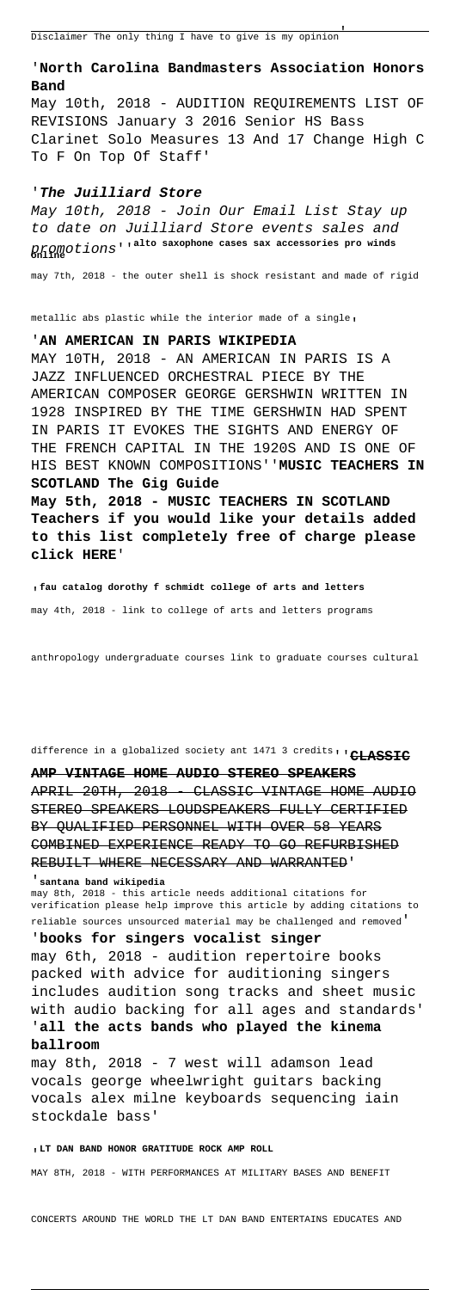# '**North Carolina Bandmasters Association Honors Band**

May 10th, 2018 - AUDITION REQUIREMENTS LIST OF REVISIONS January 3 2016 Senior HS Bass Clarinet Solo Measures 13 And 17 Change High C To F On Top Of Staff'

#### '**The Juilliard Store**

May 10th, 2018 - Join Our Email List Stay up to date on Juilliard Store events sales and promotions''**alto saxophone cases sax accessories pro winds online**

may 7th, 2018 - the outer shell is shock resistant and made of rigid

metallic abs plastic while the interior made of a single'

## '**AN AMERICAN IN PARIS WIKIPEDIA**

MAY 10TH, 2018 - AN AMERICAN IN PARIS IS A JAZZ INFLUENCED ORCHESTRAL PIECE BY THE AMERICAN COMPOSER GEORGE GERSHWIN WRITTEN IN 1928 INSPIRED BY THE TIME GERSHWIN HAD SPENT IN PARIS IT EVOKES THE SIGHTS AND ENERGY OF THE FRENCH CAPITAL IN THE 1920S AND IS ONE OF HIS BEST KNOWN COMPOSITIONS''**MUSIC TEACHERS IN SCOTLAND The Gig Guide**

APRIL 20TH, 2018 CLASSIC VINTAGE HOME AUDIO STEREO SPEAKERS LOUDSPEAKERS FULLY CERTIFIED BY QUALIFIED PERSONNEL WITH OVER 58 YEARS COMBINED EXPERIENCE READY TO GO REFURBISHED REBUILT WHERE NECESSARY AND WARRANTED'

**May 5th, 2018 - MUSIC TEACHERS IN SCOTLAND Teachers if you would like your details added to this list completely free of charge please click HERE**'

'**fau catalog dorothy f schmidt college of arts and letters**

may 4th, 2018 - link to college of arts and letters programs

anthropology undergraduate courses link to graduate courses cultural

difference in a globalized society ant 1471 3 credits''**CLASSIC**

**AMP VINTAGE HOME AUDIO STEREO SPEAKERS**

#### '**santana band wikipedia**

may 8th, 2018 - this article needs additional citations for verification please help improve this article by adding citations to reliable sources unsourced material may be challenged and removed'

'**books for singers vocalist singer** may 6th, 2018 - audition repertoire books packed with advice for auditioning singers

includes audition song tracks and sheet music with audio backing for all ages and standards'

# '**all the acts bands who played the kinema ballroom**

may 8th, 2018 - 7 west will adamson lead vocals george wheelwright guitars backing vocals alex milne keyboards sequencing iain stockdale bass'

#### '**LT DAN BAND HONOR GRATITUDE ROCK AMP ROLL**

MAY 8TH, 2018 - WITH PERFORMANCES AT MILITARY BASES AND BENEFIT

CONCERTS AROUND THE WORLD THE LT DAN BAND ENTERTAINS EDUCATES AND